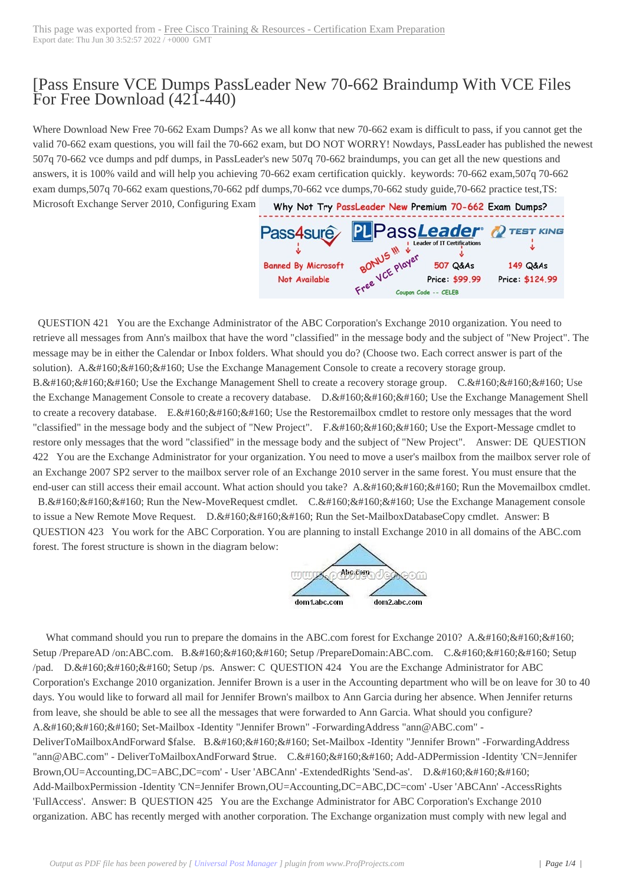## [Pass Ensure VCE [Dumps PassLeader New 70-662 Braindum](http://www.ciscobibles.com/?p=5251)p With VCE Files For Free Download (421-440)

 Where Download New Free 70-662 Exam Dumps? As we all konw that new 70-662 exam is difficult to pass, if you cannot get the valid 70-662 exam questions, you will fail the 70-662 exam, but DO NOT WORRY! Nowdays, PassLeader has published the newest 507q 70-662 vce dumps and pdf dumps, in PassLeader's new 507q 70-662 braindumps, you can get all the new questions and answers, it is 100% vaild and will help you achieving 70-662 exam certification quickly. keywords: 70-662 exam,507q 70-662 exam dumps,507q 70-662 exam questions,70-662 pdf dumps,70-662 vce dumps,70-662 study guide,70-662 practice test,TS: Microsoft Exchange Server 2010, Configuring Exam



 QUESTION 421 You are the Exchange Administrator of the ABC Corporation's Exchange 2010 organization. You need to retrieve all messages from Ann's mailbox that have th[e word "classified" in the message body and the subject of "New Project"](http://www.passleader.com/70-662.html). The message may be in either the Calendar or Inbox folders. What should you do? (Choose two. Each correct answer is part of the solution).  $A.\&\#160;\&\#160;\&\#160$ ; Use the Exchange Management Console to create a recovery storage group. B. Use the Exchange Management Shell to create a recovery storage group. C. Use the Exchange Management Console to create a recovery database. D.  $\&\#160;\&\#160;\&\#160$ . Use the Exchange Management Shell to create a recovery database. E.  $\&\#160;\&\#160;\&\#160;$  Use the Restoremailbox cmdlet to restore only messages that the word "classified" in the message body and the subject of "New Project".  $F.$ ; Use the Export-Message cmdlet to restore only messages that the word "classified" in the message body and the subject of "New Project". Answer: DE QUESTION 422 You are the Exchange Administrator for your organization. You need to move a user's mailbox from the mailbox server role of an Exchange 2007 SP2 server to the mailbox server role of an Exchange 2010 server in the same forest. You must ensure that the end-user can still access their email account. What action should you take? A.  $\&\#160$ ;  $\&\#160$ ;  $\&\#160$ ; Run the Movemailbox cmdlet. B.  $&\#160$ ;  $&\#160$ ;  $&\#160$ ; Run the New-MoveRequest cmdlet. C.  $&\#160$ ;  $&\#160$ ;  $&\#160$ ; Use the Exchange Management console

to issue a New Remote Move Request. D.  $&\#160$ ;  $&\#160$ ;  $&\#160$ ; Run the Set-MailboxDatabaseCopy cmdlet. Answer: B QUESTION 423 You work for the ABC Corporation. You are planning to install Exchange 2010 in all domains of the ABC.com forest. The forest structure is shown in the diagram below:



What command should you run to prepare the domains in the ABC.com forest for Exchange 2010? A.  $&\#160$ ;  $&\#160$ ;  $&\#160$ ; Setup /PrepareAD /on:ABC.com. B. Setup /PrepareDomain:ABC.com. C. Setup /pad. D.  $\  \  \$  Setup /ps. Answer: C QUESTION 424 You are the Exchange Administrator for ABC Corporation's Exchange 2010 organization. Jennifer Brown is a user in the Accounting department who will be on leave for 30 to 40 days. You would like to forward all mail for Jennifer Brown's mailbox to Ann Garcia during her absence. When Jennifer returns from leave, she should be able to see all the messages that were forwarded to Ann Garcia. What should you configure? A.  $&\#160$ ;  $&\#160$ ;  $&\#160$ ; Set-Mailbox -Identity "Jennifer Brown" -ForwardingAddress "ann@ABC.com" -DeliverToMailboxAndForward \$false. B. Set-Mailbox -Identity "Jennifer Brown" -ForwardingAddress "ann@ABC.com" - DeliverToMailboxAndForward \$true. C. Add-ADPermission -Identity 'CN=Jennifer Brown, OU=Accounting, DC=ABC, DC=com' - User 'ABCAnn' -Extended Rights 'Send-as'. D. Add-MailboxPermission -Identity 'CN=Jennifer Brown,OU=Accounting,DC=ABC,DC=com' -User 'ABCAnn' -AccessRights 'FullAccess'. Answer: B QUESTION 425 You are the Exchange Administrator for ABC Corporation's Exchange 2010 organization. ABC has recently merged with another corporation. The Exchange organization must comply with new legal and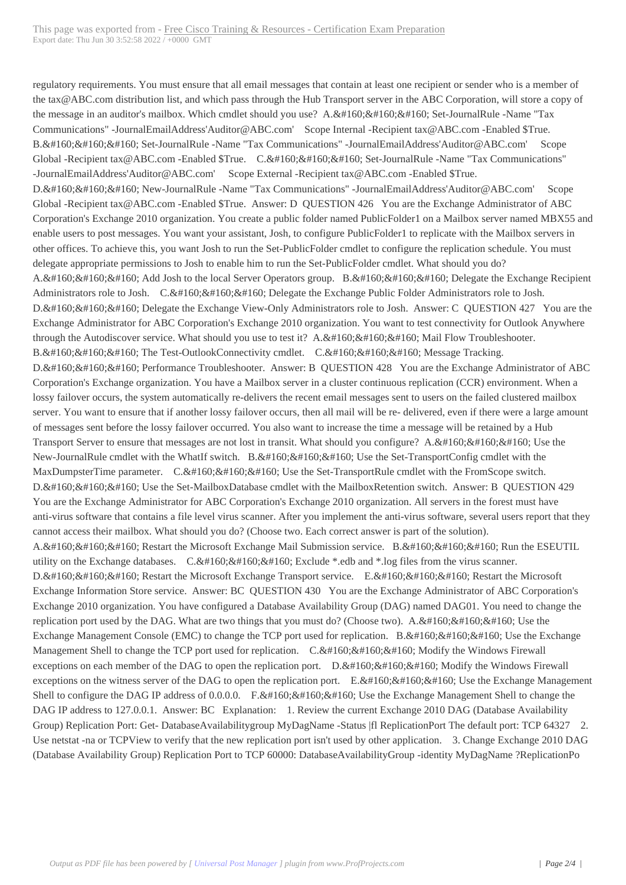regulatory requirements. You [must ensure that all email messages that contain at least one recipien](http://www.ciscobibles.com/?p=5251)t or sender who is a member of the tax@ABC.com distribution list, and which pass through the Hub Transport server in the ABC Corporation, will store a copy of the message in an auditor's mailbox. Which cmdlet should you use? A.  $&\#160$ ;  $&\#160$ ;  $&\#160$ ; Set-JournalRule -Name "Tax Communications" -JournalEmailAddress'Auditor@ABC.com' Scope Internal -Recipient tax@ABC.com -Enabled \$True. B.  $$ ;  $$ ;  $$ ; Set-JournalRule -Name "Tax Communications" -JournalEmailAddress'Auditor@ABC.com' Scope Global -Recipient tax@ABC.com -Enabled \$True. C. Set-JournalRule -Name "Tax Communications" -JournalEmailAddress'Auditor@ABC.com' Scope External -Recipient tax@ABC.com -Enabled \$True. D.  $$ ;  $$ ;  $$ ; New-JournalRule -Name "Tax Communications" -JournalEmailAddress'Auditor@ABC.com' Scope Global -Recipient tax@ABC.com -Enabled \$True. Answer: D QUESTION 426 You are the Exchange Administrator of ABC Corporation's Exchange 2010 organization. You create a public folder named PublicFolder1 on a Mailbox server named MBX55 and enable users to post messages. You want your assistant, Josh, to configure PublicFolder1 to replicate with the Mailbox servers in other offices. To achieve this, you want Josh to run the Set-PublicFolder cmdlet to configure the replication schedule. You must delegate appropriate permissions to Josh to enable him to run the Set-PublicFolder cmdlet. What should you do? A.  $$  Add Josh to the local Server Operators group. B.  $$  Delegate the Exchange Recipient Administrators role to Josh. C. Delegate the Exchange Public Folder Administrators role to Josh. D. Delegate the Exchange View-Only Administrators role to Josh. Answer: C QUESTION 427 You are the Exchange Administrator for ABC Corporation's Exchange 2010 organization. You want to test connectivity for Outlook Anywhere through the Autodiscover service. What should you use to test it?  $A.\&\#160;\&\#160$ ;  $\&\#160$ ; Mail Flow Troubleshooter. B. The Test-OutlookConnectivity cmdlet. C. Message Tracking. D.  $, ,$ ; Performance Troubleshooter. Answer: B QUESTION 428 You are the Exchange Administrator of ABC Corporation's Exchange organization. You have a Mailbox server in a cluster continuous replication (CCR) environment. When a lossy failover occurs, the system automatically re-delivers the recent email messages sent to users on the failed clustered mailbox server. You want to ensure that if another lossy failover occurs, then all mail will be re- delivered, even if there were a large amount of messages sent before the lossy failover occurred. You also want to increase the time a message will be retained by a Hub Transport Server to ensure that messages are not lost in transit. What should you configure? A.  $\ , \ , \$ ; Use the New-JournalRule cmdlet with the WhatIf switch. B.  $\&\#160;\&\#160;\&\#160$ ; Use the Set-TransportConfig cmdlet with the MaxDumpsterTime parameter. C.  $\ \ \$  Use the Set-TransportRule cmdlet with the FromScope switch. D. Use the Set-MailboxDatabase cmdlet with the MailboxRetention switch. Answer: B QUESTION 429 You are the Exchange Administrator for ABC Corporation's Exchange 2010 organization. All servers in the forest must have anti-virus software that contains a file level virus scanner. After you implement the anti-virus software, several users report that they cannot access their mailbox. What should you do? (Choose two. Each correct answer is part of the solution). A.  $$ ;  $$ ;  $$ ; Restart the Microsoft Exchange Mail Submission service. B.  $$ ;  $$ ;  $$ ; Run the ESEUTIL utility on the Exchange databases.  $C. \& #160; \& #160; \& #160; Exclude * .edb and * .log files from the virus scanner.$ D.  $\&\#160$ ;  $\&\#160$ ;  $\&\#160$ ; Restart the Microsoft Exchange Transport service. E.  $&\#160$ ;  $&\#160$ ; Restart the Microsoft Exchange Information Store service. Answer: BC QUESTION 430 You are the Exchange Administrator of ABC Corporation's Exchange 2010 organization. You have configured a Database Availability Group (DAG) named DAG01. You need to change the replication port used by the DAG. What are two things that you must do? (Choose two). A.  $\ \ \$  Use the Exchange Management Console (EMC) to change the TCP port used for replication. B. Use the Exchange Management Shell to change the TCP port used for replication.  $C.\&\#160;\&\#160;\&\#160;$  Modify the Windows Firewall exceptions on each member of the DAG to open the replication port.  $D.\&\#160;\&\#160;\&\#160;$  Modify the Windows Firewall exceptions on the witness server of the DAG to open the replication port.  $E. & #160, & #160, & #160$ ; Use the Exchange Management Shell to configure the DAG IP address of 0.0.0.0. F.  $\$ ;  $\$ ;  $\$ ; Use the Exchange Management Shell to change the DAG IP address to 127.0.0.1. Answer: BC Explanation: 1. Review the current Exchange 2010 DAG (Database Availability Group) Replication Port: Get-DatabaseAvailabilitygroup MyDagName -Status |fl ReplicationPort The default port: TCP 64327 2. Use netstat -na or TCPView to verify that the new replication port isn't used by other application. 3. Change Exchange 2010 DAG (Database Availability Group) Replication Port to TCP 60000: DatabaseAvailabilityGroup -identity MyDagName ?ReplicationPo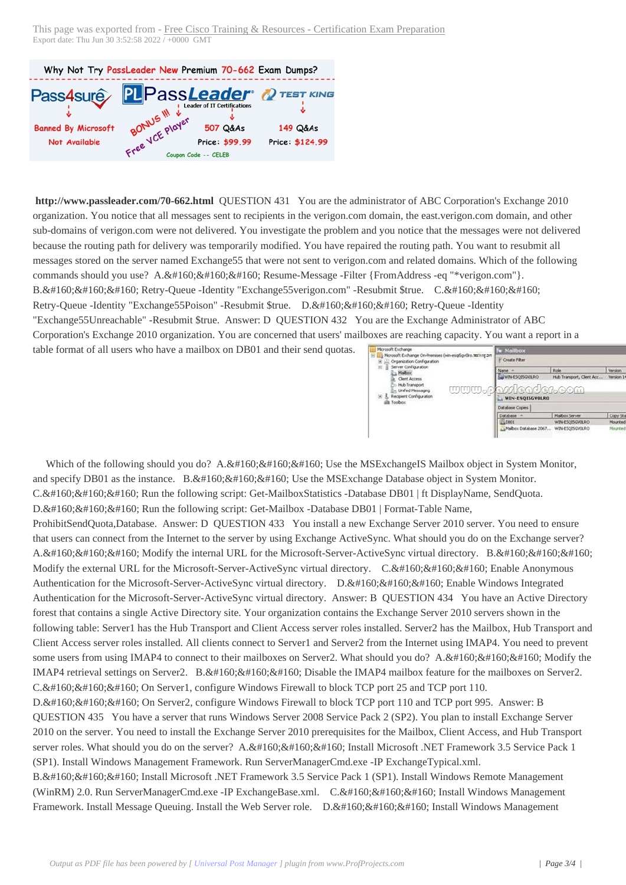Why Not Try PassLeader New Premium 70-662 Exam Dumps?



**<http://www.passleader.com/70-662.html>** QUESTION 431 You are the administrator of ABC Corporation's Exchange 2010 organization. You notice that all messages sent to recipients in the verigon.com domain, the east.verigon.com domain, and other sub-domains of verigon.com were not delivered. You investigate the problem and you notice that the messages were not delivered because the routing path for delivery was temporarily modified. You have repaired the routing path. You want to resubmit all messages stored on the server named Exchange55 that were not sent to verigon.com and related domains. Which of the following commands should you use? A.  $&\#160$ ;  $&\#160$ ;  $&\#160$ ; Resume-Message -Filter {FromAddress -eq "\*verigon.com"}. B. Retry-Queue -Identity "Exchange55verigon.com" -Resubmit \$true. C. Retry-Queue -Identity "Exchange55Poison" -Resubmit \$true. D.  $\&\#160;\&\#160;\&\#160$ ; Retry-Queue -Identity "Exchange55Unreachable" -Resubmit \$true. Answer: D QUESTION 432 You are the Exchange Administrator of ABC Corporation's Exchange 2010 organization. You are concerned that users' mailboxes are reaching capacity. You want a report in a table format of all users who have a mailbox on DB01 and their send quotas. Morosoft Exchange<br>
B LL3 Morosoft Exchange On-Premises (win-esqSgvOlro.taxxng.zx Create Filter  $\begin{array}{rcl}\n\hline\n\text{or} & \text{if } \text{Cyl} \text{ is a nontrivial} \text{ is a nontrivial} \text{ is a nontrivial} \\\\ \hline\n\text{or} & \text{if } \text{Maldon} \\\hline\n\text{or} & \text{if } \text{Maldon} \\\hline\n\text{or} & \text{if } \text{Maldon} \\\hline\n\text{or} & \text{in } \text{Maldon} \\\hline\n\end{array}$ 

Which of the following should you do?  $A. \&\#160; \&\#160; \&\#160;$  Use the MSExchangeIS Mailbox object in System Monitor, and specify DB01 as the instance. B. Use the MSExchange Database object in System Monitor. C. & #160; & #160; & #160; Run the following script: Get-Mailbox Statistics -Database DB01 | ft DisplayName, SendQuota.  $D.\&\#160;\&\#160;\&\#160;$  Run the following script: Get-Mailbox -Database DB01 | Format-Table Name, ProhibitSendQuota,Database. Answer: D QUESTION 433 You install a new Exchange Server 2010 server. You need to ensure that users can connect from the Internet to the server by using Exchange ActiveSync. What should you do on the Exchange server? A.  $&\#160$ ;  $&\#160$ ;  $&\#160$ ; Modify the internal URL for the Microsoft-Server-ActiveSync virtual directory. B.  $&\#160$ ;  $&\#160$ ;  $&\#160$ ; Modify the external URL for the Microsoft-Server-ActiveSync virtual directory. C. & #160; & #160; & #160; Enable Anonymous Authentication for the Microsoft-Server-ActiveSync virtual directory. D. Enable Windows Integrated Authentication for the Microsoft-Server-ActiveSync virtual directory. Answer: B QUESTION 434 You have an Active Directory forest that contains a single Active Directory site. Your organization contains the Exchange Server 2010 servers shown in the following table: Server1 has the Hub Transport and Client Access server roles installed. Server2 has the Mailbox, Hub Transport and Client Access server roles installed. All clients connect to Server1 and Server2 from the Internet using IMAP4. You need to prevent some users from using IMAP4 to connect to their mailboxes on Server2. What should you do? A.  $&\#160$ ;  $&\#160$ ;  $&\#160$ ; Modify the IMAP4 retrieval settings on Server2. B.  $$ ;  $$ ;  $$ ; Disable the IMAP4 mailbox feature for the mailboxes on Server2.  $C.  ,  ,$ ; On Server1, configure Windows Firewall to block TCP port 25 and TCP port 110. D.  $$ ;  $$ ;  $$ ; On Server2, configure Windows Firewall to block TCP port 110 and TCP port 995. Answer: B QUESTION 435 You have a server that runs Windows Server 2008 Service Pack 2 (SP2). You plan to install Exchange Server 2010 on the server. You need to install the Exchange Server 2010 prerequisites for the Mailbox, Client Access, and Hub Transport server roles. What should you do on the server? A.  $\&$ #160;  $&$  #160;  $&$  160;  $&$  160; Install Microsoft .NET Framework 3.5 Service Pack 1 (SP1). Install Windows Management Framework. Run ServerManagerCmd.exe -IP ExchangeTypical.xml. B. Install Microsoft .NET Framework 3.5 Service Pack 1 (SP1). Install Windows Remote Management (WinRM) 2.0. Run ServerManagerCmd.exe -IP ExchangeBase.xml. C. Install Windows Management Framework. Install Message Queuing. Install the Web Server role. D.  $\&\#160;\&\#160;\&\#160$ ; Install Windows Management

Version<br>Version 14.0 (

Copy Stab

Role<br>Hub Transport, Client Ar

Malbox Serve

**WIN-ESOIS** 

WIN-ESOISGYOURO

Name -<br>Le WIN-ESQISGVOLRO

WIN-ESQISGVOLRO Database Copies Database

Malbox Database 2067...

wwwo

<u>wdeoder.com</u>